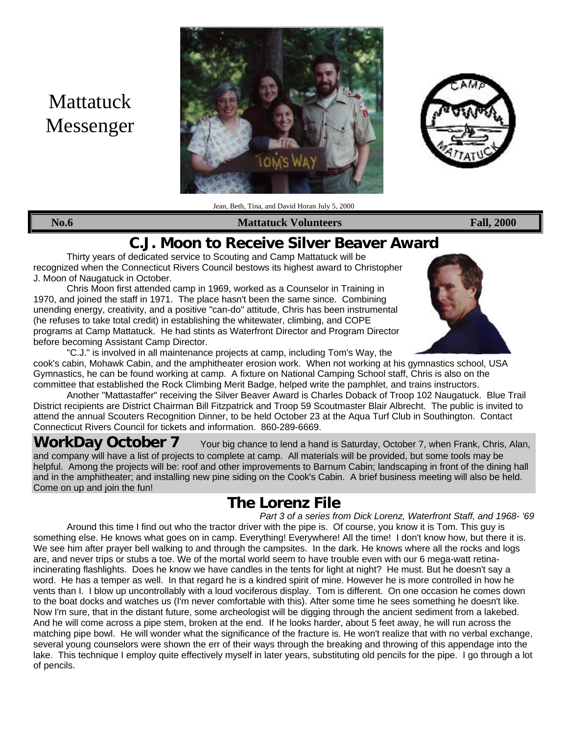# Mattatuck Messenger





Jean, Beth, Tina, and David Horan July 5, 2000

#### **No.6 Mattatuck Volunteers Fall, 2000**

## **C.J. Moon to Receive Silver Beaver Award**

Thirty years of dedicated service to Scouting and Camp Mattatuck will be recognized when the Connecticut Rivers Council bestows its highest award to Christopher J. Moon of Naugatuck in October.

Chris Moon first attended camp in 1969, worked as a Counselor in Training in 1970, and joined the staff in 1971. The place hasn't been the same since. Combining unending energy, creativity, and a positive "can-do" attitude, Chris has been instrumental (he refuses to take total credit) in establishing the whitewater, climbing, and COPE programs at Camp Mattatuck. He had stints as Waterfront Director and Program Director before becoming Assistant Camp Director.



"C.J." is involved in all maintenance projects at camp, including Tom's Way, the cook's cabin, Mohawk Cabin, and the amphitheater erosion work. When not working at his gymnastics school, USA Gymnastics, he can be found working at camp. A fixture on National Camping School staff, Chris is also on the committee that established the Rock Climbing Merit Badge, helped write the pamphlet, and trains instructors.

Another "Mattastaffer" receiving the Silver Beaver Award is Charles Doback of Troop 102 Naugatuck. Blue Trail District recipients are District Chairman Bill Fitzpatrick and Troop 59 Scoutmaster Blair Albrecht. The public is invited to attend the annual Scouters Recognition Dinner, to be held October 23 at the Aqua Turf Club in Southington. Contact Connecticut Rivers Council for tickets and information. 860-289-6669.

**WorkDay October 7** Your big chance to lend a hand is Saturday, October 7, when Frank, Chris, Alan, and company will have a list of projects to complete at camp. All materials will be provided, but some tools may be helpful. Among the projects will be: roof and other improvements to Barnum Cabin; landscaping in front of the dining hall and in the amphitheater; and installing new pine siding on the Cook's Cabin. A brief business meeting will also be held. Come on up and join the fun!

## **The Lorenz File**

*Part 3 of a series from Dick Lorenz, Waterfront Staff, and 1968- '69* Around this time I find out who the tractor driver with the pipe is. Of course, you know it is Tom. This guy is something else. He knows what goes on in camp. Everything! Everywhere! All the time! I don't know how, but there it is. We see him after prayer bell walking to and through the campsites. In the dark. He knows where all the rocks and logs are, and never trips or stubs a toe. We of the mortal world seem to have trouble even with our 6 mega-watt retinaincinerating flashlights. Does he know we have candles in the tents for light at night? He must. But he doesn't say a word. He has a temper as well. In that regard he is a kindred spirit of mine. However he is more controlled in how he vents than I. I blow up uncontrollably with a loud vociferous display. Tom is different. On one occasion he comes down to the boat docks and watches us (I'm never comfortable with this). After some time he sees something he doesn't like. Now I'm sure, that in the distant future, some archeologist will be digging through the ancient sediment from a lakebed. And he will come across a pipe stem, broken at the end. If he looks harder, about 5 feet away, he will run across the matching pipe bowl. He will wonder what the significance of the fracture is. He won't realize that with no verbal exchange, several young counselors were shown the err of their ways through the breaking and throwing of this appendage into the lake. This technique I employ quite effectively myself in later years, substituting old pencils for the pipe. I go through a lot of pencils.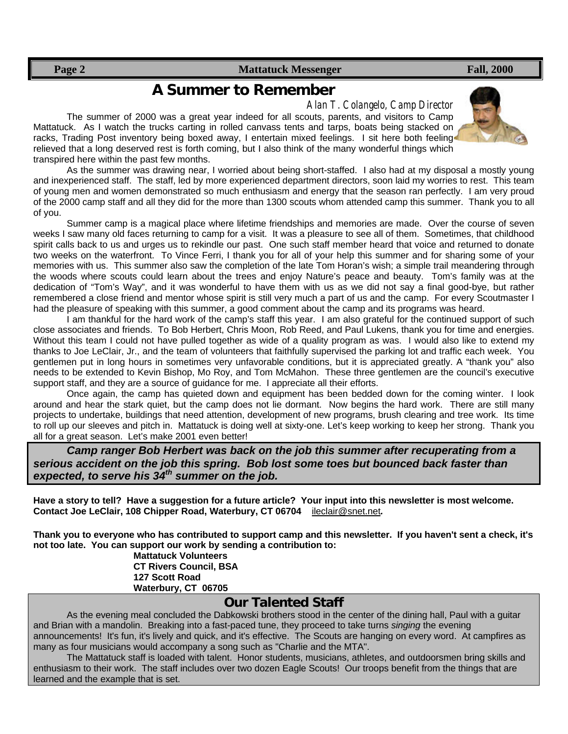#### **Page 2** Fall, 2000 **Mattatuck Messenger** Fall, 2000

### **A Summer to Remember**

*Alan T. Colangelo, Camp Director*

The summer of 2000 was a great year indeed for all scouts, parents, and visitors to Camp Mattatuck. As I watch the trucks carting in rolled canvass tents and tarps, boats being stacked on racks, Trading Post inventory being boxed away, I entertain mixed feelings. I sit here both feeling relieved that a long deserved rest is forth coming, but I also think of the many wonderful things which transpired here within the past few months.

As the summer was drawing near, I worried about being short-staffed. I also had at my disposal a mostly young and inexperienced staff. The staff, led by more experienced department directors, soon laid my worries to rest. This team of young men and women demonstrated so much enthusiasm and energy that the season ran perfectly. I am very proud of the 2000 camp staff and all they did for the more than 1300 scouts whom attended camp this summer. Thank you to all of you.

Summer camp is a magical place where lifetime friendships and memories are made. Over the course of seven weeks I saw many old faces returning to camp for a visit. It was a pleasure to see all of them. Sometimes, that childhood spirit calls back to us and urges us to rekindle our past. One such staff member heard that voice and returned to donate two weeks on the waterfront. To Vince Ferri, I thank you for all of your help this summer and for sharing some of your memories with us. This summer also saw the completion of the late Tom Horan's wish; a simple trail meandering through the woods where scouts could learn about the trees and enjoy Nature's peace and beauty. Tom's family was at the dedication of "Tom's Way", and it was wonderful to have them with us as we did not say a final good-bye, but rather remembered a close friend and mentor whose spirit is still very much a part of us and the camp. For every Scoutmaster I had the pleasure of speaking with this summer, a good comment about the camp and its programs was heard.

I am thankful for the hard work of the camp's staff this year. I am also grateful for the continued support of such close associates and friends. To Bob Herbert, Chris Moon, Rob Reed, and Paul Lukens, thank you for time and energies. Without this team I could not have pulled together as wide of a quality program as was. I would also like to extend my thanks to Joe LeClair, Jr., and the team of volunteers that faithfully supervised the parking lot and traffic each week. You gentlemen put in long hours in sometimes very unfavorable conditions, but it is appreciated greatly. A "thank you" also needs to be extended to Kevin Bishop, Mo Roy, and Tom McMahon. These three gentlemen are the council's executive support staff, and they are a source of guidance for me. I appreciate all their efforts.

Once again, the camp has quieted down and equipment has been bedded down for the coming winter. I look around and hear the stark quiet, but the camp does not lie dormant. Now begins the hard work. There are still many projects to undertake, buildings that need attention, development of new programs, brush clearing and tree work. Its time to roll up our sleeves and pitch in. Mattatuck is doing well at sixty-one. Let's keep working to keep her strong. Thank you all for a great season. Let's make 2001 even better!

*Camp ranger Bob Herbert was back on the job this summer after recuperating from a serious accident on the job this spring. Bob lost some toes but bounced back faster than expected, to serve his 34th summer on the job.*

**Have a story to tell? Have a suggestion for a future article? Your input into this newsletter is most welcome. Contact Joe LeClair, 108 Chipper Road, Waterbury, CT 06704** ileclair@snet.net*.*

**Thank you to everyone who has contributed to support camp and this newsletter. If you haven't sent a check, it's not too late. You can support our work by sending a contribution to:**

**Mattatuck Volunteers CT Rivers Council, BSA 127 Scott Road Waterbury, CT 06705**

### **Our Talented Staff**

As the evening meal concluded the Dabkowski brothers stood in the center of the dining hall, Paul with a guitar and Brian with a mandolin. Breaking into a fast-paced tune, they proceed to take turns *singing* the evening announcements! It's fun, it's lively and quick, and it's effective. The Scouts are hanging on every word. At campfires as many as four musicians would accompany a song such as "Charlie and the MTA".

The Mattatuck staff is loaded with talent. Honor students, musicians, athletes, and outdoorsmen bring skills and enthusiasm to their work. The staff includes over two dozen Eagle Scouts! Our troops benefit from the things that are learned and the example that is set.

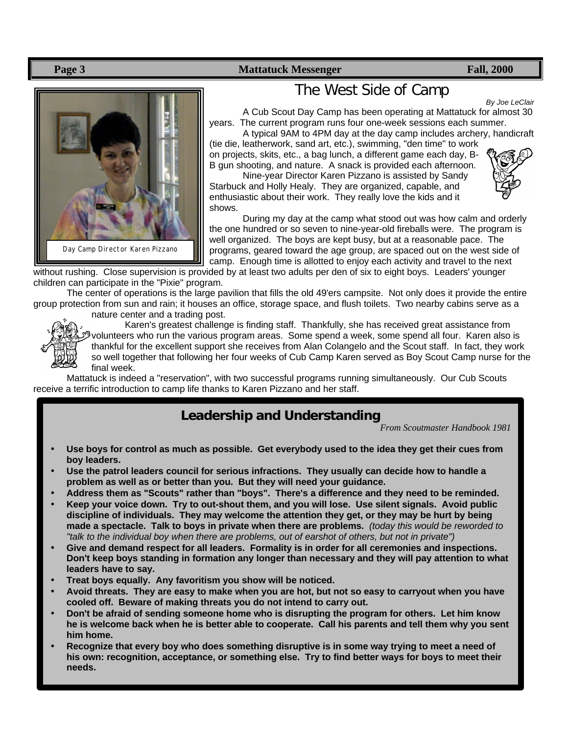**Page 3 Mattatuck Messenger Fall, 2000 Fall** 



## The West Side of Camp

*By Joe LeClair*

A Cub Scout Day Camp has been operating at Mattatuck for almost 30 years. The current program runs four one-week sessions each summer. A typical 9AM to 4PM day at the day camp includes archery, handicraft

(tie die, leatherwork, sand art, etc.), swimming, "den time" to work on projects, skits, etc., a bag lunch, a different game each day, B-B gun shooting, and nature. A snack is provided each afternoon.

Nine-year Director Karen Pizzano is assisted by Sandy Starbuck and Holly Healy. They are organized, capable, and enthusiastic about their work. They really love the kids and it shows.



During my day at the camp what stood out was how calm and orderly the one hundred or so seven to nine-year-old fireballs were. The program is well organized. The boys are kept busy, but at a reasonable pace. The programs, geared toward the age group, are spaced out on the west side of camp. Enough time is allotted to enjoy each activity and travel to the next

without rushing. Close supervision is provided by at least two adults per den of six to eight boys. Leaders' younger children can participate in the "Pixie" program.

The center of operations is the large pavilion that fills the old 49'ers campsite. Not only does it provide the entire group protection from sun and rain; it houses an office, storage space, and flush toilets. Two nearby cabins serve as a nature center and a trading post.



Karen's greatest challenge is finding staff. Thankfully, she has received great assistance from volunteers who run the various program areas. Some spend a week, some spend all four. Karen also is thankful for the excellent support she receives from Alan Colangelo and the Scout staff. In fact, they work so well together that following her four weeks of Cub Camp Karen served as Boy Scout Camp nurse for the final week.

Mattatuck is indeed a "reservation", with two successful programs running simultaneously. Our Cub Scouts receive a terrific introduction to camp life thanks to Karen Pizzano and her staff.

## **Leadership and Understanding**

*From Scoutmaster Handbook 1981*

- **Use boys for control as much as possible. Get everybody used to the idea they get their cues from boy leaders.**
- **Use the patrol leaders council for serious infractions. They usually can decide how to handle a problem as well as or better than you. But they will need your guidance.**
- **Address them as "Scouts" rather than "boys". There's a difference and they need to be reminded.**
- **Keep your voice down. Try to out-shout them, and you will lose. Use silent signals. Avoid public discipline of individuals. They may welcome the attention they get, or they may be hurt by being made a spectacle. Talk to boys in private when there are problems.** *(today this would be reworded to "talk to the individual boy when there are problems, out of earshot of others, but not in private")*
- **Give and demand respect for all leaders. Formality is in order for all ceremonies and inspections. Don't keep boys standing in formation any longer than necessary and they will pay attention to what leaders have to say.**
- **Treat boys equally. Any favoritism you show will be noticed.**
- **Avoid threats. They are easy to make when you are hot, but not so easy to carryout when you have cooled off. Beware of making threats you do not intend to carry out.**
- **Don't be afraid of sending someone home who is disrupting the program for others. Let him know he is welcome back when he is better able to cooperate. Call his parents and tell them why you sent him home.**
- **Recognize that every boy who does something disruptive is in some way trying to meet a need of his own: recognition, acceptance, or something else. Try to find better ways for boys to meet their needs.**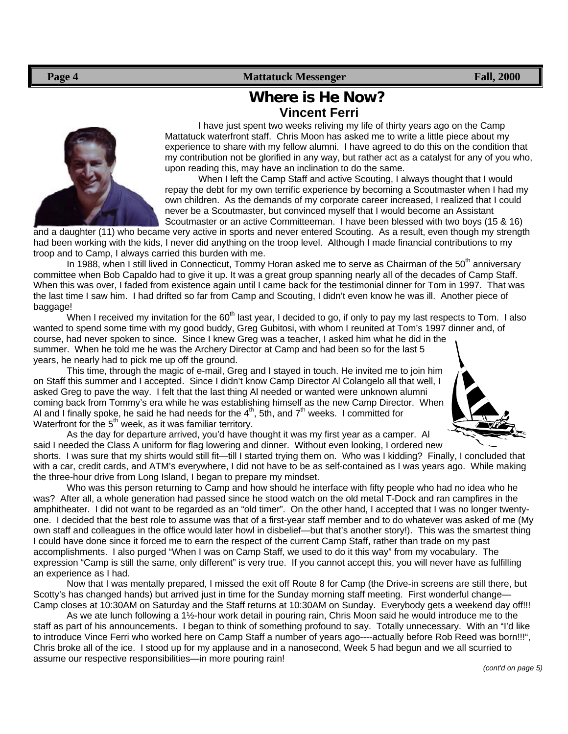#### **Page 4 Mattatuck Messenger Fall, 2000 Fall, 2000**

## **Where is He Now? Vincent Ferri**

I have just spent two weeks reliving my life of thirty years ago on the Camp Mattatuck waterfront staff. Chris Moon has asked me to write a little piece about my experience to share with my fellow alumni. I have agreed to do this on the condition that my contribution not be glorified in any way, but rather act as a catalyst for any of you who, upon reading this, may have an inclination to do the same.

When I left the Camp Staff and active Scouting, I always thought that I would repay the debt for my own terrific experience by becoming a Scoutmaster when I had my own children. As the demands of my corporate career increased, I realized that I could never be a Scoutmaster, but convinced myself that I would become an Assistant Scoutmaster or an active Committeeman. I have been blessed with two boys (15 & 16)

and a daughter (11) who became very active in sports and never entered Scouting. As a result, even though my strength had been working with the kids, I never did anything on the troop level. Although I made financial contributions to my troop and to Camp, I always carried this burden with me.

In 1988, when I still lived in Connecticut, Tommy Horan asked me to serve as Chairman of the 50<sup>th</sup> anniversary committee when Bob Capaldo had to give it up. It was a great group spanning nearly all of the decades of Camp Staff. When this was over, I faded from existence again until I came back for the testimonial dinner for Tom in 1997. That was the last time I saw him. I had drifted so far from Camp and Scouting, I didn't even know he was ill. Another piece of baggage!

When I received my invitation for the 60<sup>th</sup> last year, I decided to go, if only to pay my last respects to Tom. I also wanted to spend some time with my good buddy, Greg Gubitosi, with whom I reunited at Tom's 1997 dinner and, of course, had never spoken to since. Since I knew Greg was a teacher, I asked him what he did in the summer. When he told me he was the Archery Director at Camp and had been so for the last 5 years, he nearly had to pick me up off the ground.

This time, through the magic of e-mail, Greg and I stayed in touch. He invited me to join him on Staff this summer and I accepted. Since I didn't know Camp Director Al Colangelo all that well, I asked Greg to pave the way. I felt that the last thing Al needed or wanted were unknown alumni coming back from Tommy's era while he was establishing himself as the new Camp Director. When Al and I finally spoke, he said he had needs for the  $4<sup>th</sup>$ , 5th, and  $7<sup>th</sup>$  weeks. I committed for Waterfront for the  $5<sup>th</sup>$  week, as it was familiar territory.



As the day for departure arrived, you'd have thought it was my first year as a camper. Al said I needed the Class A uniform for flag lowering and dinner. Without even looking, I ordered new

shorts. I was sure that my shirts would still fit—till I started trying them on. Who was I kidding? Finally, I concluded that with a car, credit cards, and ATM's everywhere, I did not have to be as self-contained as I was years ago. While making the three-hour drive from Long Island, I began to prepare my mindset.

Who was this person returning to Camp and how should he interface with fifty people who had no idea who he was? After all, a whole generation had passed since he stood watch on the old metal T-Dock and ran campfires in the amphitheater. I did not want to be regarded as an "old timer". On the other hand, I accepted that I was no longer twentyone. I decided that the best role to assume was that of a first-year staff member and to do whatever was asked of me (My own staff and colleagues in the office would later howl in disbelief—but that's another story!). This was the smartest thing I could have done since it forced me to earn the respect of the current Camp Staff, rather than trade on my past accomplishments. I also purged "When I was on Camp Staff, we used to do it this way" from my vocabulary. The expression "Camp is still the same, only different" is very true. If you cannot accept this, you will never have as fulfilling an experience as I had.

Now that I was mentally prepared, I missed the exit off Route 8 for Camp (the Drive-in screens are still there, but Scotty's has changed hands) but arrived just in time for the Sunday morning staff meeting. First wonderful change— Camp closes at 10:30AM on Saturday and the Staff returns at 10:30AM on Sunday. Everybody gets a weekend day off!!!

As we ate lunch following a 1½-hour work detail in pouring rain, Chris Moon said he would introduce me to the staff as part of his announcements. I began to think of something profound to say. Totally unnecessary. With an "I'd like to introduce Vince Ferri who worked here on Camp Staff a number of years ago----actually before Rob Reed was born!!!", Chris broke all of the ice. I stood up for my applause and in a nanosecond, Week 5 had begun and we all scurried to assume our respective responsibilities—in more pouring rain!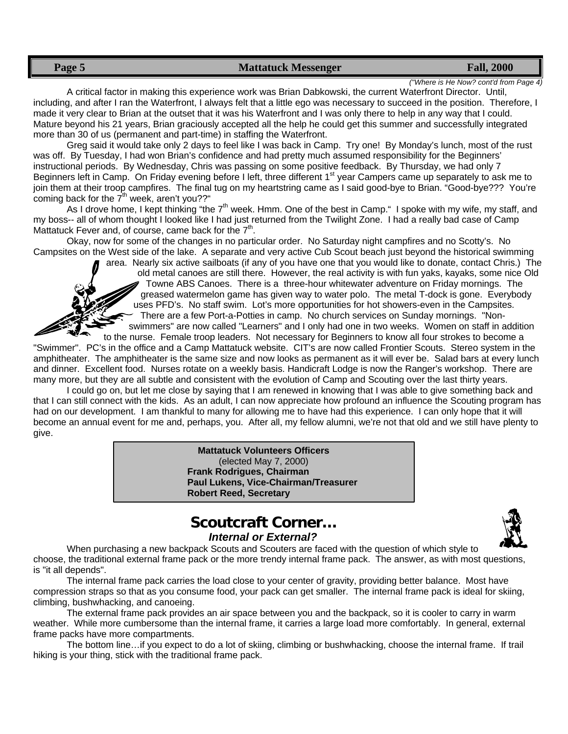#### **Page 5 Mattatuck Messenger Fall, 2000 Fall, 2000**

*("Where is He Now? cont'd from Page 4)*

A critical factor in making this experience work was Brian Dabkowski, the current Waterfront Director. Until, including, and after I ran the Waterfront, I always felt that a little ego was necessary to succeed in the position. Therefore, I made it very clear to Brian at the outset that it was his Waterfront and I was only there to help in any way that I could. Mature beyond his 21 years, Brian graciously accepted all the help he could get this summer and successfully integrated more than 30 of us (permanent and part-time) in staffing the Waterfront.

Greg said it would take only 2 days to feel like I was back in Camp. Try one! By Monday's lunch, most of the rust was off. By Tuesday, I had won Brian's confidence and had pretty much assumed responsibility for the Beginners' instructional periods. By Wednesday, Chris was passing on some positive feedback. By Thursday, we had only 7 Beginners left in Camp. On Friday evening before I left, three different 1<sup>st</sup> year Campers came up separately to ask me to join them at their troop campfires. The final tug on my heartstring came as I said good-bye to Brian. "Good-bye??? You're coming back for the  $7<sup>th</sup>$  week, aren't you??"

As I drove home, I kept thinking "the 7<sup>th</sup> week. Hmm. One of the best in Camp." I spoke with my wife, my staff, and my boss-- all of whom thought I looked like I had just returned from the Twilight Zone. I had a really bad case of Camp Mattatuck Fever and, of course, came back for the  $7<sup>th</sup>$ .

Okay, now for some of the changes in no particular order. No Saturday night campfires and no Scotty's. No Campsites on the West side of the lake. A separate and very active Cub Scout beach just beyond the historical swimming

area. Nearly six active sailboats (if any of you have one that you would like to donate, contact Chris.) The old metal canoes are still there. However, the real activity is with fun yaks, kayaks, some nice Old Towne ABS Canoes. There is a three-hour whitewater adventure on Friday mornings. The greased watermelon game has given way to water polo. The metal T-dock is gone. Everybody uses PFD's. No staff swim. Lot's more opportunities for hot showers-even in the Campsites. There are a few Port-a-Potties in camp. No church services on Sunday mornings. "Nonswimmers" are now called "Learners" and I only had one in two weeks. Women on staff in addition

to the nurse. Female troop leaders. Not necessary for Beginners to know all four strokes to become a "Swimmer". PC's in the office and a Camp Mattatuck website. CIT's are now called Frontier Scouts. Stereo system in the amphitheater. The amphitheater is the same size and now looks as permanent as it will ever be. Salad bars at every lunch and dinner. Excellent food. Nurses rotate on a weekly basis. Handicraft Lodge is now the Ranger's workshop. There are many more, but they are all subtle and consistent with the evolution of Camp and Scouting over the last thirty years.

I could go on, but let me close by saying that I am renewed in knowing that I was able to give something back and that I can still connect with the kids. As an adult, I can now appreciate how profound an influence the Scouting program has had on our development. I am thankful to many for allowing me to have had this experience. I can only hope that it will become an annual event for me and, perhaps, you. After all, my fellow alumni, we're not that old and we still have plenty to give.

> **Mattatuck Volunteers Officers** (elected May 7, 2000) **Frank Rodrigues, Chairman Paul Lukens, Vice-Chairman/Treasurer Robert Reed, Secretary**

### **Scoutcraft Corner…** *Internal or External?*



When purchasing a new backpack Scouts and Scouters are faced with the question of which style to choose, the traditional external frame pack or the more trendy internal frame pack. The answer, as with most questions, is "it all depends".

The internal frame pack carries the load close to your center of gravity, providing better balance. Most have compression straps so that as you consume food, your pack can get smaller. The internal frame pack is ideal for skiing, climbing, bushwhacking, and canoeing.

The external frame pack provides an air space between you and the backpack, so it is cooler to carry in warm weather. While more cumbersome than the internal frame, it carries a large load more comfortably. In general, external frame packs have more compartments.

The bottom line…if you expect to do a lot of skiing, climbing or bushwhacking, choose the internal frame. If trail hiking is your thing, stick with the traditional frame pack.